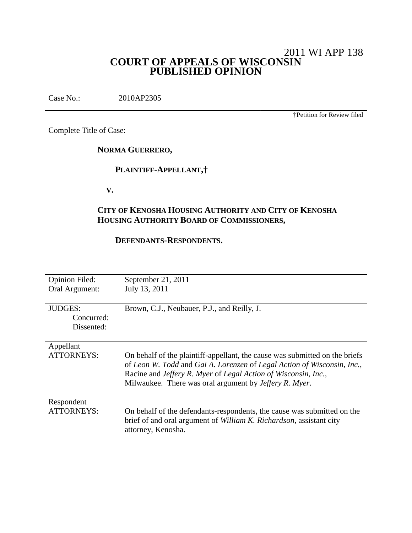# 2011 WI APP 138 **COURT OF APPEALS OF WISCONSIN PUBLISHED OPINION**

Case No.: 2010AP2305

†Petition for Review filed

Complete Title of Case:

**NORMA GUERRERO,**

## **PLAINTIFF-APPELLANT,†**

**V.**

# **CITY OF KENOSHA HOUSING AUTHORITY AND CITY OF KENOSHA HOUSING AUTHORITY BOARD OF COMMISSIONERS,**

#### **DEFENDANTS-RESPONDENTS.**

| <b>Opinion Filed:</b><br>Oral Argument:    | September 21, 2011<br>July 13, 2011                                                                                                                                                                                                                                                |
|--------------------------------------------|------------------------------------------------------------------------------------------------------------------------------------------------------------------------------------------------------------------------------------------------------------------------------------|
| <b>JUDGES:</b><br>Concurred:<br>Dissented: | Brown, C.J., Neubauer, P.J., and Reilly, J.                                                                                                                                                                                                                                        |
| Appellant<br><b>ATTORNEYS:</b>             | On behalf of the plaintiff-appellant, the cause was submitted on the briefs<br>of Leon W. Todd and Gai A. Lorenzen of Legal Action of Wisconsin, Inc.,<br>Racine and Jeffery R. Myer of Legal Action of Wisconsin, Inc.,<br>Milwaukee. There was oral argument by Jeffery R. Myer. |
| Respondent<br><b>ATTORNEYS:</b>            | On behalf of the defendants-respondents, the cause was submitted on the<br>brief of and oral argument of William K. Richardson, assistant city<br>attorney, Kenosha.                                                                                                               |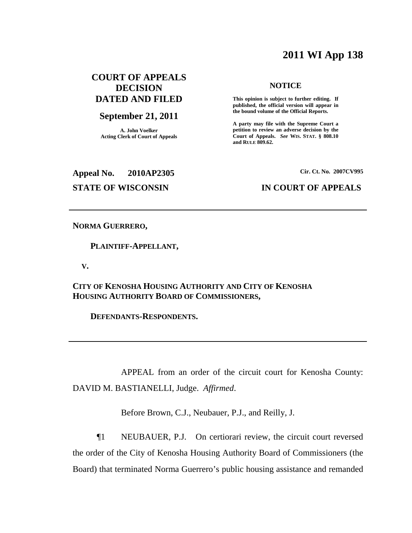# **2011 WI App 138**

# **COURT OF APPEALS DECISION DATED AND FILED**

#### **September 21, 2011**

**A. John Voelker Acting Clerk of Court of Appeals**

#### **NOTICE**

**This opinion is subject to further editing. If published, the official version will appear in the bound volume of the Official Reports.**

**A party may file with the Supreme Court a petition to review an adverse decision by the Court of Appeals.** *See* **WIS. STAT. § 808.10 and RULE 809.62.**

#### **Appeal No. 2010AP2305**

**Cir. Ct. No. 2007CV995**

#### **STATE OF WISCONSIN IN COURT OF APPEALS**

#### **NORMA GUERRERO,**

**PLAINTIFF-APPELLANT,**

**V.**

**CITY OF KENOSHA HOUSING AUTHORITY AND CITY OF KENOSHA HOUSING AUTHORITY BOARD OF COMMISSIONERS,**

**DEFENDANTS-RESPONDENTS.**

APPEAL from an order of the circuit court for Kenosha County: DAVID M. BASTIANELLI, Judge. *Affirmed*.

Before Brown, C.J., Neubauer, P.J., and Reilly, J.

¶1 NEUBAUER, P.J. On certiorari review, the circuit court reversed the order of the City of Kenosha Housing Authority Board of Commissioners (the Board) that terminated Norma Guerrero's public housing assistance and remanded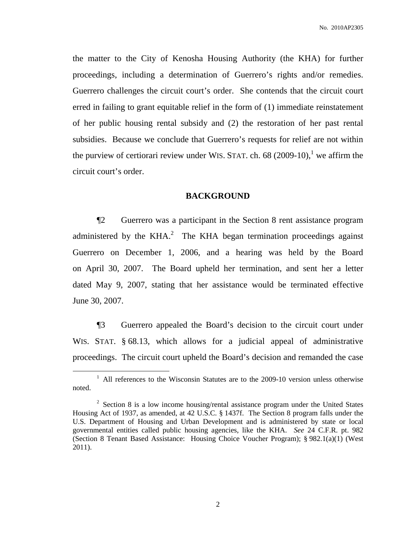the matter to the City of Kenosha Housing Authority (the KHA) for further proceedings, including a determination of Guerrero's rights and/or remedies. Guerrero challenges the circuit court's order. She contends that the circuit court erred in failing to grant equitable relief in the form of (1) immediate reinstatement of her public housing rental subsidy and (2) the restoration of her past rental subsidies. Because we conclude that Guerrero's requests for relief are not within the purview of certiorari review under WIS. STAT. ch. 68  $(2009-10)$ , we affirm the circuit court's order.

#### **BACKGROUND**

¶2 Guerrero was a participant in the Section 8 rent assistance program administered by the KHA. $^{2}$  The KHA began termination proceedings against Guerrero on December 1, 2006, and a hearing was held by the Board on April 30, 2007. The Board upheld her termination, and sent her a letter dated May 9, 2007, stating that her assistance would be terminated effective June 30, 2007.

¶3 Guerrero appealed the Board's decision to the circuit court under WIS. STAT. § 68.13, which allows for a judicial appeal of administrative proceedings. The circuit court upheld the Board's decision and remanded the case

 $1$  All references to the Wisconsin Statutes are to the 2009-10 version unless otherwise noted.

 $2^2$  Section 8 is a low income housing/rental assistance program under the United States Housing Act of 1937, as amended, at 42 U.S.C. § 1437f. The Section 8 program falls under the U.S. Department of Housing and Urban Development and is administered by state or local governmental entities called public housing agencies, like the KHA. *See* 24 C.F.R. pt. 982 (Section 8 Tenant Based Assistance: Housing Choice Voucher Program); § 982.1(a)(1) (West 2011).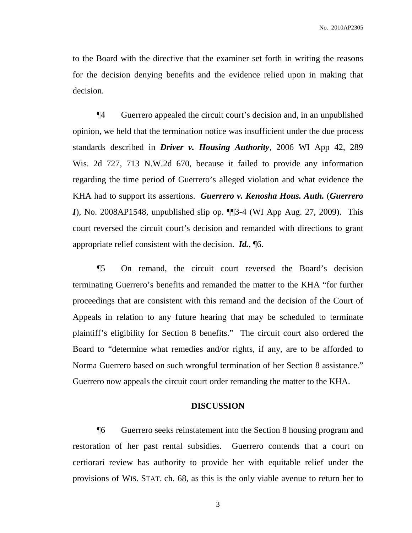to the Board with the directive that the examiner set forth in writing the reasons for the decision denying benefits and the evidence relied upon in making that decision.

¶4 Guerrero appealed the circuit court's decision and, in an unpublished opinion, we held that the termination notice was insufficient under the due process standards described in *Driver v. Housing Authority*, 2006 WI App 42, 289 Wis. 2d 727, 713 N.W.2d 670, because it failed to provide any information regarding the time period of Guerrero's alleged violation and what evidence the KHA had to support its assertions. *Guerrero v. Kenosha Hous. Auth.* (*Guerrero I*), No. 2008AP1548, unpublished slip op. ¶¶3-4 (WI App Aug. 27, 2009). This court reversed the circuit court's decision and remanded with directions to grant appropriate relief consistent with the decision. *Id.*, ¶6.

¶5 On remand, the circuit court reversed the Board's decision terminating Guerrero's benefits and remanded the matter to the KHA "for further proceedings that are consistent with this remand and the decision of the Court of Appeals in relation to any future hearing that may be scheduled to terminate plaintiff's eligibility for Section 8 benefits." The circuit court also ordered the Board to "determine what remedies and/or rights, if any, are to be afforded to Norma Guerrero based on such wrongful termination of her Section 8 assistance." Guerrero now appeals the circuit court order remanding the matter to the KHA.

#### **DISCUSSION**

¶6 Guerrero seeks reinstatement into the Section 8 housing program and restoration of her past rental subsidies. Guerrero contends that a court on certiorari review has authority to provide her with equitable relief under the provisions of WIS. STAT. ch. 68, as this is the only viable avenue to return her to

3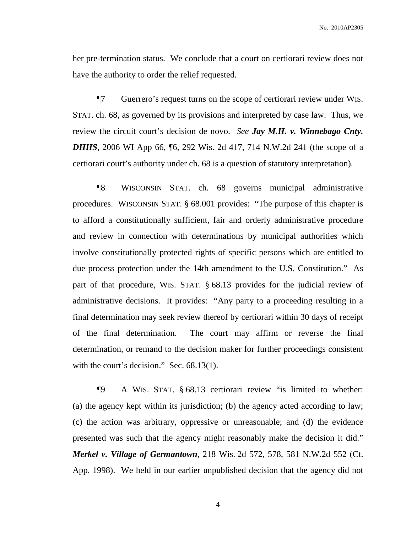No. 2010AP2305

her pre-termination status. We conclude that a court on certiorari review does not have the authority to order the relief requested.

¶7 Guerrero's request turns on the scope of certiorari review under WIS. STAT. ch. 68, as governed by its provisions and interpreted by case law. Thus, we review the circuit court's decision de novo. *See Jay M.H. v. Winnebago Cnty. DHHS*, 2006 WI App 66, 16, 292 Wis. 2d 417, 714 N.W.2d 241 (the scope of a certiorari court's authority under ch. 68 is a question of statutory interpretation).

¶8 WISCONSIN STAT. ch. 68 governs municipal administrative procedures. WISCONSIN STAT. § 68.001 provides: "The purpose of this chapter is to afford a constitutionally sufficient, fair and orderly administrative procedure and review in connection with determinations by municipal authorities which involve constitutionally protected rights of specific persons which are entitled to due process protection under the 14th amendment to the U.S. Constitution." As part of that procedure, WIS. STAT. § 68.13 provides for the judicial review of administrative decisions. It provides: "Any party to a proceeding resulting in a final determination may seek review thereof by certiorari within 30 days of receipt of the final determination. The court may affirm or reverse the final determination, or remand to the decision maker for further proceedings consistent with the court's decision." Sec. 68.13(1).

¶9 A WIS. STAT. § 68.13 certiorari review "is limited to whether: (a) the agency kept within its jurisdiction; (b) the agency acted according to law; (c) the action was arbitrary, oppressive or unreasonable; and (d) the evidence presented was such that the agency might reasonably make the decision it did." *Merkel v. Village of Germantown*, 218 Wis. 2d 572, 578, 581 N.W.2d 552 (Ct. App. 1998). We held in our earlier unpublished decision that the agency did not

4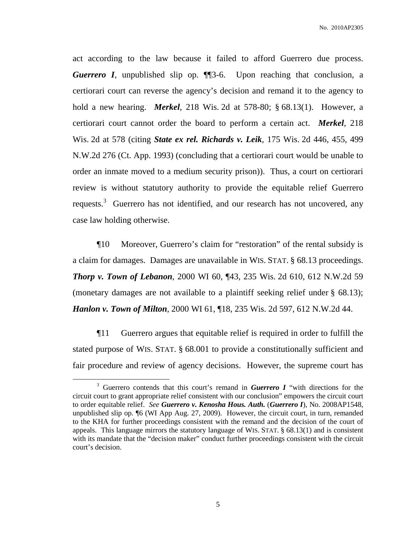act according to the law because it failed to afford Guerrero due process. *Guerrero I*, unpublished slip op. ¶¶3-6. Upon reaching that conclusion, a certiorari court can reverse the agency's decision and remand it to the agency to hold a new hearing. *Merkel*, 218 Wis. 2d at 578-80; § 68.13(1). However, a certiorari court cannot order the board to perform a certain act. *Merkel*, 218 Wis. 2d at 578 (citing *State ex rel. Richards v. Leik*, 175 Wis. 2d 446, 455, 499 N.W.2d 276 (Ct. App. 1993) (concluding that a certiorari court would be unable to order an inmate moved to a medium security prison)). Thus, a court on certiorari review is without statutory authority to provide the equitable relief Guerrero requests.<sup>3</sup> Guerrero has not identified, and our research has not uncovered, any case law holding otherwise.

¶10 Moreover, Guerrero's claim for "restoration" of the rental subsidy is a claim for damages. Damages are unavailable in WIS. STAT. § 68.13 proceedings. *Thorp v. Town of Lebanon*, 2000 WI 60, ¶43, 235 Wis. 2d 610, 612 N.W.2d 59 (monetary damages are not available to a plaintiff seeking relief under § 68.13); *Hanlon v. Town of Milton*, 2000 WI 61, ¶18, 235 Wis. 2d 597, 612 N.W.2d 44.

¶11 Guerrero argues that equitable relief is required in order to fulfill the stated purpose of WIS. STAT. § 68.001 to provide a constitutionally sufficient and fair procedure and review of agency decisions. However, the supreme court has

<sup>3</sup> Guerrero contends that this court's remand in *Guerrero I* "with directions for the circuit court to grant appropriate relief consistent with our conclusion" empowers the circuit court to order equitable relief. *See Guerrero v. Kenosha Hous. Auth.* (*Guerrero I*), No. 2008AP1548, unpublished slip op. ¶6 (WI App Aug. 27, 2009). However, the circuit court, in turn, remanded to the KHA for further proceedings consistent with the remand and the decision of the court of appeals. This language mirrors the statutory language of WIS. STAT.  $\S$  68.13(1) and is consistent with its mandate that the "decision maker" conduct further proceedings consistent with the circuit court's decision.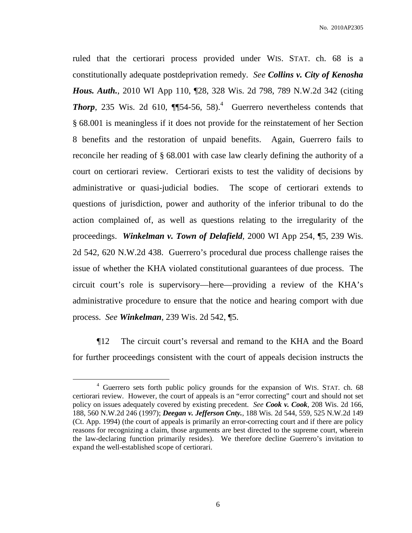ruled that the certiorari process provided under WIS. STAT. ch. 68 is a constitutionally adequate postdeprivation remedy. *See Collins v. City of Kenosha Hous. Auth.*, 2010 WI App 110, ¶28, 328 Wis. 2d 798, 789 N.W.2d 342 (citing **Thorp**, 235 Wis. 2d 610,  $\P$  $[54-56, 58)$ .<sup>4</sup> Guerrero nevertheless contends that § 68.001 is meaningless if it does not provide for the reinstatement of her Section 8 benefits and the restoration of unpaid benefits. Again, Guerrero fails to reconcile her reading of § 68.001 with case law clearly defining the authority of a court on certiorari review. Certiorari exists to test the validity of decisions by administrative or quasi-judicial bodies. The scope of certiorari extends to questions of jurisdiction, power and authority of the inferior tribunal to do the action complained of, as well as questions relating to the irregularity of the proceedings. *Winkelman v. Town of Delafield*, 2000 WI App 254, ¶5, 239 Wis. 2d 542, 620 N.W.2d 438. Guerrero's procedural due process challenge raises the issue of whether the KHA violated constitutional guarantees of due process. The circuit court's role is supervisory—here—providing a review of the KHA's administrative procedure to ensure that the notice and hearing comport with due process. *See Winkelman*, 239 Wis. 2d 542, ¶5.

¶12 The circuit court's reversal and remand to the KHA and the Board for further proceedings consistent with the court of appeals decision instructs the

<sup>4</sup> Guerrero sets forth public policy grounds for the expansion of WIS. STAT. ch. 68 certiorari review. However, the court of appeals is an "error correcting" court and should not set policy on issues adequately covered by existing precedent. *See Cook v. Cook*, 208 Wis. 2d 166, 188, 560 N.W.2d 246 (1997); *Deegan v. Jefferson Cnty.*, 188 Wis. 2d 544, 559, 525 N.W.2d 149 (Ct. App. 1994) (the court of appeals is primarily an error-correcting court and if there are policy reasons for recognizing a claim, those arguments are best directed to the supreme court, wherein the law-declaring function primarily resides). We therefore decline Guerrero's invitation to expand the well-established scope of certiorari.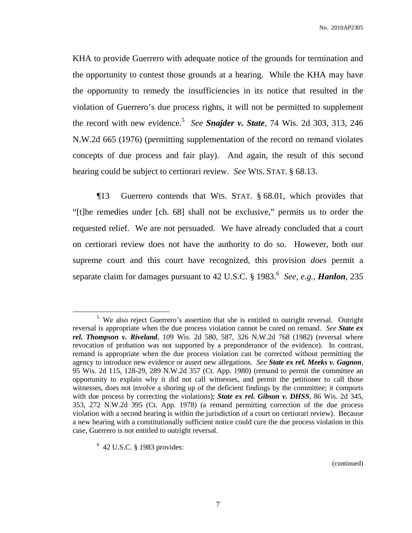No. 2010AP2305

KHA to provide Guerrero with adequate notice of the grounds for termination and the opportunity to contest those grounds at a hearing. While the KHA may have the opportunity to remedy the insufficiencies in its notice that resulted in the violation of Guerrero's due process rights, it will not be permitted to supplement the record with new evidence. 5 *See Snajder v. State*, 74 Wis. 2d 303, 313, 246 N.W.2d 665 (1976) (permitting supplementation of the record on remand violates concepts of due process and fair play). And again, the result of this second hearing could be subject to certiorari review. *See* WIS. STAT. § 68.13.

¶13 Guerrero contends that WIS. STAT. § 68.01, which provides that "[t]he remedies under [ch. 68] shall not be exclusive," permits us to order the requested relief. We are not persuaded. We have already concluded that a court on certiorari review does not have the authority to do so. However, both our supreme court and this court have recognized, this provision *does* permit a separate claim for damages pursuant to 42 U.S.C. § 1983. 6 *See, e.g.*, *Hanlon*, 235

(continued)

<sup>&</sup>lt;sup>5</sup> We also reject Guerrero's assertion that she is entitled to outright reversal. Outright reversal is appropriate when the due process violation cannot be cured on remand. *See State ex rel. Thompson v. Riveland*, 109 Wis. 2d 580, 587, 326 N.W.2d 768 (1982) (reversal where revocation of probation was not supported by a preponderance of the evidence). In contrast, remand is appropriate when the due process violation can be corrected without permitting the agency to introduce new evidence or assert new allegations. *See State ex rel. Meeks v. Gagnon*, 95 Wis. 2d 115, 128-29, 289 N.W.2d 357 (Ct. App. 1980) (remand to permit the committee an opportunity to explain why it did not call witnesses, and permit the petitioner to call those witnesses, does not involve a shoring up of the deficient findings by the committee; it comports with due process by correcting the violations); *State ex rel. Gibson v. DHSS*, 86 Wis. 2d 345, 353, 272 N.W.2d 395 (Ct. App. 1978) (a remand permitting correction of the due process violation with a second hearing is within the jurisdiction of a court on certiorari review). Because a new hearing with a constitutionally sufficient notice could cure the due process violation in this case, Guerrero is not entitled to outright reversal.

<sup>6</sup> 42 U.S.C. § 1983 provides: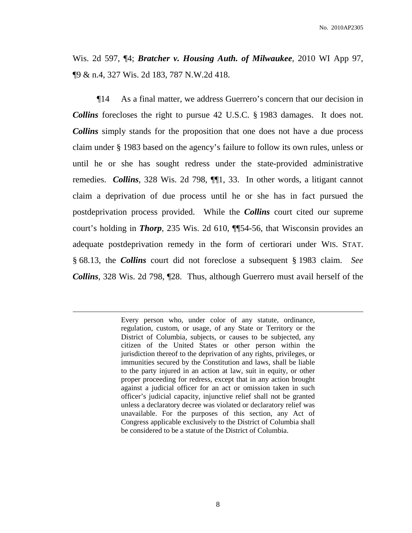Wis. 2d 597, ¶4; *Bratcher v. Housing Auth. of Milwaukee*, 2010 WI App 97, ¶9 & n.4, 327 Wis. 2d 183, 787 N.W.2d 418.

¶14 As a final matter, we address Guerrero's concern that our decision in *Collins* forecloses the right to pursue 42 U.S.C. § 1983 damages. It does not. *Collins* simply stands for the proposition that one does not have a due process claim under § 1983 based on the agency's failure to follow its own rules, unless or until he or she has sought redress under the state-provided administrative remedies. *Collins*, 328 Wis. 2d 798, ¶¶1, 33. In other words, a litigant cannot claim a deprivation of due process until he or she has in fact pursued the postdeprivation process provided. While the *Collins* court cited our supreme court's holding in *Thorp*, 235 Wis. 2d 610, ¶¶54-56, that Wisconsin provides an adequate postdeprivation remedy in the form of certiorari under WIS. STAT. § 68.13, the *Collins* court did not foreclose a subsequent § 1983 claim. *See Collins*, 328 Wis. 2d 798, ¶28. Thus, although Guerrero must avail herself of the

> Every person who, under color of any statute, ordinance, regulation, custom, or usage, of any State or Territory or the District of Columbia, subjects, or causes to be subjected, any citizen of the United States or other person within the jurisdiction thereof to the deprivation of any rights, privileges, or immunities secured by the Constitution and laws, shall be liable to the party injured in an action at law, suit in equity, or other proper proceeding for redress, except that in any action brought against a judicial officer for an act or omission taken in such officer's judicial capacity, injunctive relief shall not be granted unless a declaratory decree was violated or declaratory relief was unavailable. For the purposes of this section, any Act of Congress applicable exclusively to the District of Columbia shall be considered to be a statute of the District of Columbia.